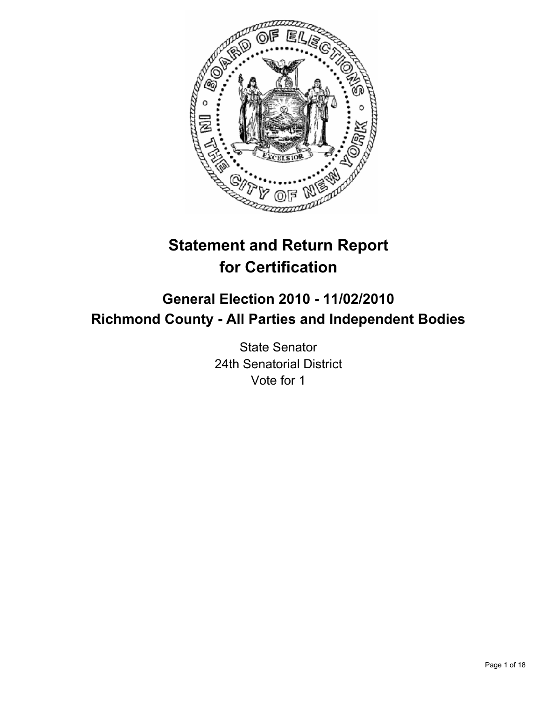

# **Statement and Return Report for Certification**

# **General Election 2010 - 11/02/2010 Richmond County - All Parties and Independent Bodies**

State Senator 24th Senatorial District Vote for 1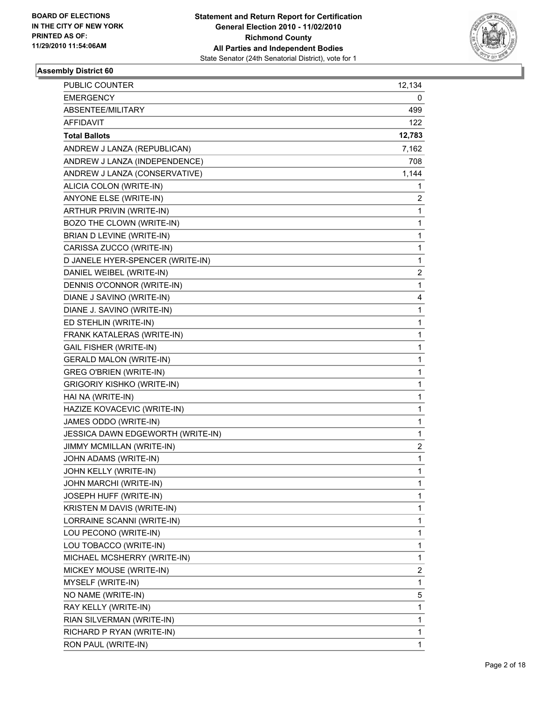

| <b>PUBLIC COUNTER</b>             | 12,134 |
|-----------------------------------|--------|
| <b>EMERGENCY</b>                  | 0      |
| ABSENTEE/MILITARY                 | 499    |
| <b>AFFIDAVIT</b>                  | 122    |
| <b>Total Ballots</b>              | 12,783 |
| ANDREW J LANZA (REPUBLICAN)       | 7,162  |
| ANDREW J LANZA (INDEPENDENCE)     | 708    |
| ANDREW J LANZA (CONSERVATIVE)     | 1,144  |
| ALICIA COLON (WRITE-IN)           | 1      |
| ANYONE ELSE (WRITE-IN)            | 2      |
| ARTHUR PRIVIN (WRITE-IN)          | 1      |
| BOZO THE CLOWN (WRITE-IN)         | 1      |
| BRIAN D LEVINE (WRITE-IN)         | 1      |
| CARISSA ZUCCO (WRITE-IN)          | 1      |
| D JANELE HYER-SPENCER (WRITE-IN)  | 1      |
| DANIEL WEIBEL (WRITE-IN)          | 2      |
| DENNIS O'CONNOR (WRITE-IN)        | 1      |
| DIANE J SAVINO (WRITE-IN)         | 4      |
| DIANE J. SAVINO (WRITE-IN)        | 1      |
| ED STEHLIN (WRITE-IN)             | 1      |
| FRANK KATALERAS (WRITE-IN)        | 1      |
| <b>GAIL FISHER (WRITE-IN)</b>     | 1      |
| <b>GERALD MALON (WRITE-IN)</b>    | 1      |
| <b>GREG O'BRIEN (WRITE-IN)</b>    | 1      |
| <b>GRIGORIY KISHKO (WRITE-IN)</b> | 1      |
| HAI NA (WRITE-IN)                 | 1      |
| HAZIZE KOVACEVIC (WRITE-IN)       | 1      |
| JAMES ODDO (WRITE-IN)             | 1      |
| JESSICA DAWN EDGEWORTH (WRITE-IN) | 1      |
| JIMMY MCMILLAN (WRITE-IN)         | 2      |
| JOHN ADAMS (WRITE-IN)             | 1      |
| JOHN KELLY (WRITE-IN)             | 1      |
| JOHN MARCHI (WRITE-IN)            | 1      |
| JOSEPH HUFF (WRITE-IN)            | 1      |
| KRISTEN M DAVIS (WRITE-IN)        | 1      |
| LORRAINE SCANNI (WRITE-IN)        | 1      |
| LOU PECONO (WRITE-IN)             | 1      |
| LOU TOBACCO (WRITE-IN)            | 1      |
| MICHAEL MCSHERRY (WRITE-IN)       | 1      |
| MICKEY MOUSE (WRITE-IN)           | 2      |
| MYSELF (WRITE-IN)                 | 1      |
| NO NAME (WRITE-IN)                | 5      |
| RAY KELLY (WRITE-IN)              | 1      |
| RIAN SILVERMAN (WRITE-IN)         | 1      |
| RICHARD P RYAN (WRITE-IN)         | 1      |
| RON PAUL (WRITE-IN)               | 1      |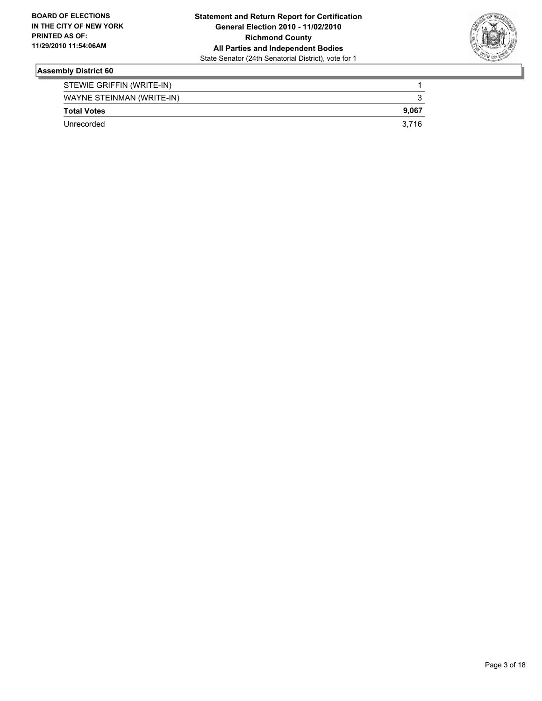

| STEWIE GRIFFIN (WRITE-IN) |       |
|---------------------------|-------|
| WAYNE STEINMAN (WRITE-IN) |       |
| <b>Total Votes</b>        | 9.067 |
| Unrecorded                | 3.716 |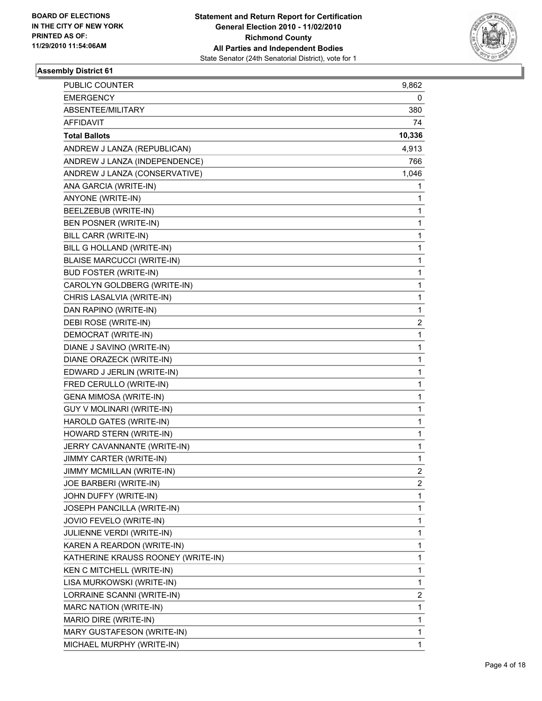

| <b>PUBLIC COUNTER</b>              | 9,862        |
|------------------------------------|--------------|
| <b>EMERGENCY</b>                   | 0            |
| ABSENTEE/MILITARY                  | 380          |
| <b>AFFIDAVIT</b>                   | 74           |
| <b>Total Ballots</b>               | 10,336       |
| ANDREW J LANZA (REPUBLICAN)        | 4,913        |
| ANDREW J LANZA (INDEPENDENCE)      | 766          |
| ANDREW J LANZA (CONSERVATIVE)      | 1,046        |
| ANA GARCIA (WRITE-IN)              | 1            |
| ANYONE (WRITE-IN)                  | 1            |
| BEELZEBUB (WRITE-IN)               | 1            |
| BEN POSNER (WRITE-IN)              | 1            |
| BILL CARR (WRITE-IN)               | 1            |
| BILL G HOLLAND (WRITE-IN)          | 1            |
| <b>BLAISE MARCUCCI (WRITE-IN)</b>  | 1            |
| <b>BUD FOSTER (WRITE-IN)</b>       | 1            |
| CAROLYN GOLDBERG (WRITE-IN)        | 1            |
| CHRIS LASALVIA (WRITE-IN)          | 1            |
| DAN RAPINO (WRITE-IN)              | 1            |
| DEBI ROSE (WRITE-IN)               | 2            |
| DEMOCRAT (WRITE-IN)                | 1            |
| DIANE J SAVINO (WRITE-IN)          | 1            |
| DIANE ORAZECK (WRITE-IN)           | 1            |
| EDWARD J JERLIN (WRITE-IN)         | 1            |
| FRED CERULLO (WRITE-IN)            | 1            |
| <b>GENA MIMOSA (WRITE-IN)</b>      | 1            |
| GUY V MOLINARI (WRITE-IN)          | 1            |
| HAROLD GATES (WRITE-IN)            | 1            |
| HOWARD STERN (WRITE-IN)            | 1            |
| JERRY CAVANNANTE (WRITE-IN)        | 1            |
| JIMMY CARTER (WRITE-IN)            | 1            |
| JIMMY MCMILLAN (WRITE-IN)          | 2            |
| JOE BARBERI (WRITE-IN)             | 2            |
| JOHN DUFFY (WRITE-IN)              | 1            |
| JOSEPH PANCILLA (WRITE-IN)         | 1            |
| JOVIO FEVELO (WRITE-IN)            | 1            |
| JULIENNE VERDI (WRITE-IN)          | 1            |
| KAREN A REARDON (WRITE-IN)         | 1            |
| KATHERINE KRAUSS ROONEY (WRITE-IN) | 1            |
| KEN C MITCHELL (WRITE-IN)          | 1            |
| LISA MURKOWSKI (WRITE-IN)          | 1            |
| LORRAINE SCANNI (WRITE-IN)         | 2            |
| MARC NATION (WRITE-IN)             | 1            |
| MARIO DIRE (WRITE-IN)              | 1            |
| MARY GUSTAFESON (WRITE-IN)         | 1            |
| MICHAEL MURPHY (WRITE-IN)          | $\mathbf{1}$ |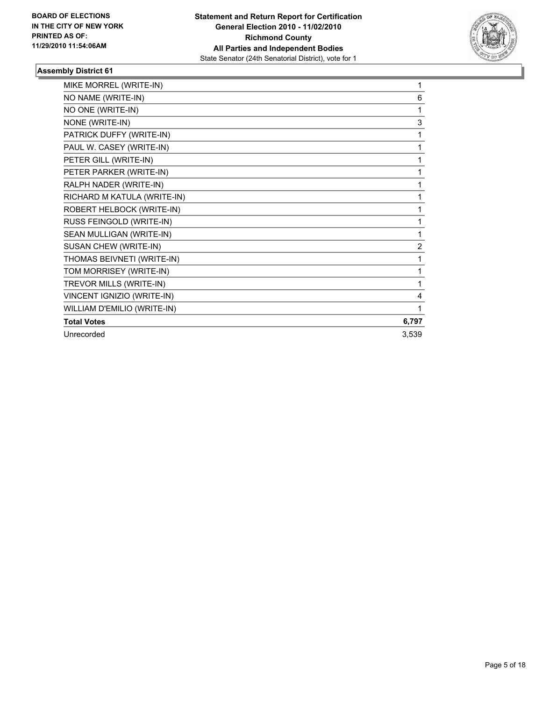

| MIKE MORREL (WRITE-IN)      | 1              |
|-----------------------------|----------------|
| NO NAME (WRITE-IN)          | 6              |
| NO ONE (WRITE-IN)           | 1              |
| NONE (WRITE-IN)             | 3              |
| PATRICK DUFFY (WRITE-IN)    | 1              |
| PAUL W. CASEY (WRITE-IN)    | 1              |
| PETER GILL (WRITE-IN)       | 1              |
| PETER PARKER (WRITE-IN)     | 1              |
| RALPH NADER (WRITE-IN)      | 1              |
| RICHARD M KATULA (WRITE-IN) | 1              |
| ROBERT HELBOCK (WRITE-IN)   | 1              |
| RUSS FEINGOLD (WRITE-IN)    | 1              |
| SEAN MULLIGAN (WRITE-IN)    | 1              |
| SUSAN CHEW (WRITE-IN)       | $\overline{2}$ |
| THOMAS BEIVNETI (WRITE-IN)  | 1              |
| TOM MORRISEY (WRITE-IN)     | 1              |
| TREVOR MILLS (WRITE-IN)     | 1              |
| VINCENT IGNIZIO (WRITE-IN)  | 4              |
| WILLIAM D'EMILIO (WRITE-IN) | 1              |
| <b>Total Votes</b>          | 6,797          |
| Unrecorded                  | 3,539          |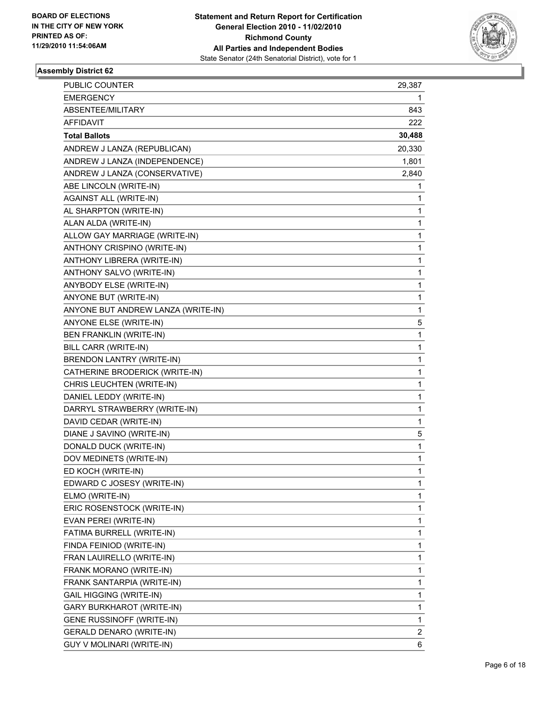

| PUBLIC COUNTER                     | 29,387         |
|------------------------------------|----------------|
| <b>EMERGENCY</b>                   | 1              |
| ABSENTEE/MILITARY                  | 843            |
| AFFIDAVIT                          | 222            |
| <b>Total Ballots</b>               | 30,488         |
| ANDREW J LANZA (REPUBLICAN)        | 20,330         |
| ANDREW J LANZA (INDEPENDENCE)      | 1,801          |
| ANDREW J LANZA (CONSERVATIVE)      | 2,840          |
| ABE LINCOLN (WRITE-IN)             | 1              |
| <b>AGAINST ALL (WRITE-IN)</b>      | 1              |
| AL SHARPTON (WRITE-IN)             | 1              |
| ALAN ALDA (WRITE-IN)               | 1              |
| ALLOW GAY MARRIAGE (WRITE-IN)      | 1              |
| ANTHONY CRISPINO (WRITE-IN)        | 1              |
| ANTHONY LIBRERA (WRITE-IN)         | 1              |
| ANTHONY SALVO (WRITE-IN)           | 1              |
| ANYBODY ELSE (WRITE-IN)            | 1              |
| ANYONE BUT (WRITE-IN)              | 1              |
| ANYONE BUT ANDREW LANZA (WRITE-IN) | 1              |
| ANYONE ELSE (WRITE-IN)             | 5              |
| BEN FRANKLIN (WRITE-IN)            | 1              |
| BILL CARR (WRITE-IN)               | 1              |
| BRENDON LANTRY (WRITE-IN)          | 1              |
| CATHERINE BRODERICK (WRITE-IN)     | 1              |
| CHRIS LEUCHTEN (WRITE-IN)          | 1              |
| DANIEL LEDDY (WRITE-IN)            | 1              |
| DARRYL STRAWBERRY (WRITE-IN)       | 1              |
| DAVID CEDAR (WRITE-IN)             | 1              |
| DIANE J SAVINO (WRITE-IN)          | 5              |
| DONALD DUCK (WRITE-IN)             | 1              |
| DOV MEDINETS (WRITE-IN)            | 1              |
| ED KOCH (WRITE-IN)                 | 1              |
| EDWARD C JOSESY (WRITE-IN)         | 1              |
| ELMO (WRITE-IN)                    | 1              |
| ERIC ROSENSTOCK (WRITE-IN)         | 1              |
| EVAN PEREI (WRITE-IN)              | 1              |
| FATIMA BURRELL (WRITE-IN)          | 1              |
| FINDA FEINIOD (WRITE-IN)           | 1              |
| FRAN LAUIRELLO (WRITE-IN)          | 1              |
| FRANK MORANO (WRITE-IN)            | 1              |
| FRANK SANTARPIA (WRITE-IN)         | 1              |
| GAIL HIGGING (WRITE-IN)            | 1              |
| <b>GARY BURKHAROT (WRITE-IN)</b>   | 1              |
| <b>GENE RUSSINOFF (WRITE-IN)</b>   | 1              |
| GERALD DENARO (WRITE-IN)           | $\overline{2}$ |
| GUY V MOLINARI (WRITE-IN)          | 6              |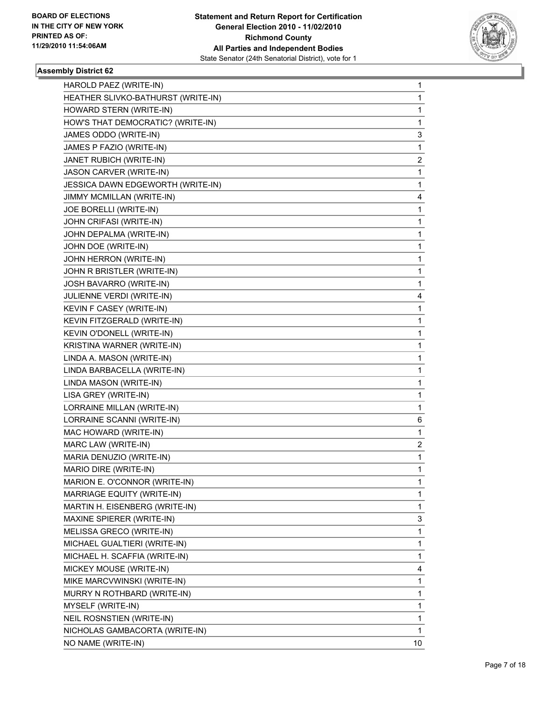

| HAROLD PAEZ (WRITE-IN)             | 1              |
|------------------------------------|----------------|
| HEATHER SLIVKO-BATHURST (WRITE-IN) | 1              |
| HOWARD STERN (WRITE-IN)            | 1              |
| HOW'S THAT DEMOCRATIC? (WRITE-IN)  | 1              |
| JAMES ODDO (WRITE-IN)              | 3              |
| JAMES P FAZIO (WRITE-IN)           | 1              |
| JANET RUBICH (WRITE-IN)            | $\overline{2}$ |
| JASON CARVER (WRITE-IN)            | 1              |
| JESSICA DAWN EDGEWORTH (WRITE-IN)  | 1              |
| JIMMY MCMILLAN (WRITE-IN)          | 4              |
| JOE BORELLI (WRITE-IN)             | 1              |
| JOHN CRIFASI (WRITE-IN)            | 1              |
| JOHN DEPALMA (WRITE-IN)            | 1              |
| JOHN DOE (WRITE-IN)                | 1              |
| <b>JOHN HERRON (WRITE-IN)</b>      | 1              |
| JOHN R BRISTLER (WRITE-IN)         | 1              |
| JOSH BAVARRO (WRITE-IN)            | 1              |
| <b>JULIENNE VERDI (WRITE-IN)</b>   | 4              |
| KEVIN F CASEY (WRITE-IN)           | 1              |
| KEVIN FITZGERALD (WRITE-IN)        | 1              |
| KEVIN O'DONELL (WRITE-IN)          | 1              |
| KRISTINA WARNER (WRITE-IN)         | 1              |
| LINDA A. MASON (WRITE-IN)          | 1              |
| LINDA BARBACELLA (WRITE-IN)        | 1              |
| LINDA MASON (WRITE-IN)             | 1              |
| LISA GREY (WRITE-IN)               | 1              |
| LORRAINE MILLAN (WRITE-IN)         | 1              |
| LORRAINE SCANNI (WRITE-IN)         | 6              |
| MAC HOWARD (WRITE-IN)              | 1              |
| MARC LAW (WRITE-IN)                | 2              |
| MARIA DENUZIO (WRITE-IN)           | 1              |
| MARIO DIRE (WRITE-IN)              | 1              |
| MARION E. O'CONNOR (WRITE-IN)      | 1              |
| MARRIAGE EQUITY (WRITE-IN)         | 1              |
| MARTIN H. EISENBERG (WRITE-IN)     | 1              |
| MAXINE SPIERER (WRITE-IN)          | 3              |
| MELISSA GRECO (WRITE-IN)           | 1              |
| MICHAEL GUALTIERI (WRITE-IN)       | 1              |
| MICHAEL H. SCAFFIA (WRITE-IN)      | 1              |
| MICKEY MOUSE (WRITE-IN)            | 4              |
| MIKE MARCVWINSKI (WRITE-IN)        | 1              |
| MURRY N ROTHBARD (WRITE-IN)        | 1              |
| MYSELF (WRITE-IN)                  | 1              |
| NEIL ROSNSTIEN (WRITE-IN)          | 1              |
| NICHOLAS GAMBACORTA (WRITE-IN)     | 1              |
| NO NAME (WRITE-IN)                 | 10             |
|                                    |                |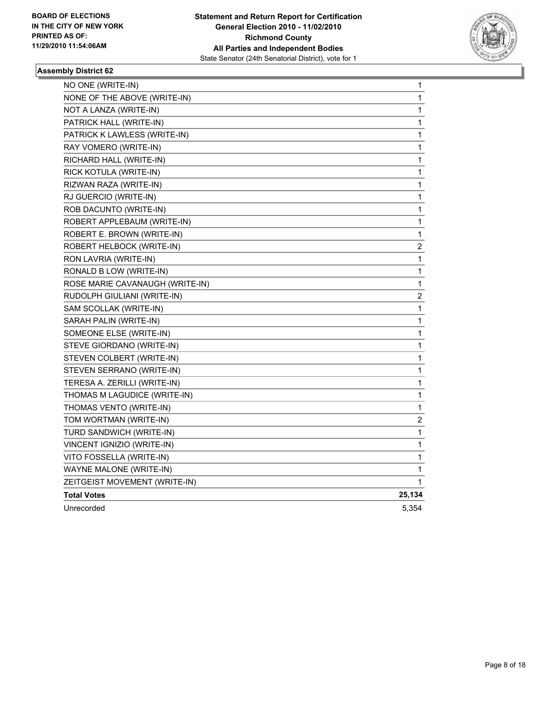

| NO ONE (WRITE-IN)               | 1      |
|---------------------------------|--------|
| NONE OF THE ABOVE (WRITE-IN)    | 1      |
| NOT A LANZA (WRITE-IN)          | 1      |
| PATRICK HALL (WRITE-IN)         | 1      |
| PATRICK K LAWLESS (WRITE-IN)    | 1      |
| RAY VOMERO (WRITE-IN)           | 1      |
| RICHARD HALL (WRITE-IN)         | 1      |
| RICK KOTULA (WRITE-IN)          | 1      |
| RIZWAN RAZA (WRITE-IN)          | 1      |
| RJ GUERCIO (WRITE-IN)           | 1      |
| ROB DACUNTO (WRITE-IN)          | 1      |
| ROBERT APPLEBAUM (WRITE-IN)     | 1      |
| ROBERT E. BROWN (WRITE-IN)      | 1      |
| ROBERT HELBOCK (WRITE-IN)       | 2      |
| RON LAVRIA (WRITE-IN)           | 1      |
| RONALD B LOW (WRITE-IN)         | 1      |
| ROSE MARIE CAVANAUGH (WRITE-IN) | 1      |
| RUDOLPH GIULIANI (WRITE-IN)     | 2      |
| SAM SCOLLAK (WRITE-IN)          | 1      |
| SARAH PALIN (WRITE-IN)          | 1      |
| SOMEONE ELSE (WRITE-IN)         | 1      |
| STEVE GIORDANO (WRITE-IN)       | 1      |
| STEVEN COLBERT (WRITE-IN)       | 1      |
| STEVEN SERRANO (WRITE-IN)       | 1      |
| TERESA A. ZERILLI (WRITE-IN)    | 1      |
| THOMAS M LAGUDICE (WRITE-IN)    | 1      |
| THOMAS VENTO (WRITE-IN)         | 1      |
| TOM WORTMAN (WRITE-IN)          | 2      |
| TURD SANDWICH (WRITE-IN)        | 1      |
| VINCENT IGNIZIO (WRITE-IN)      | 1      |
| VITO FOSSELLA (WRITE-IN)        | 1      |
| WAYNE MALONE (WRITE-IN)         | 1      |
| ZEITGEIST MOVEMENT (WRITE-IN)   | 1      |
| <b>Total Votes</b>              | 25,134 |
| Unrecorded                      | 5,354  |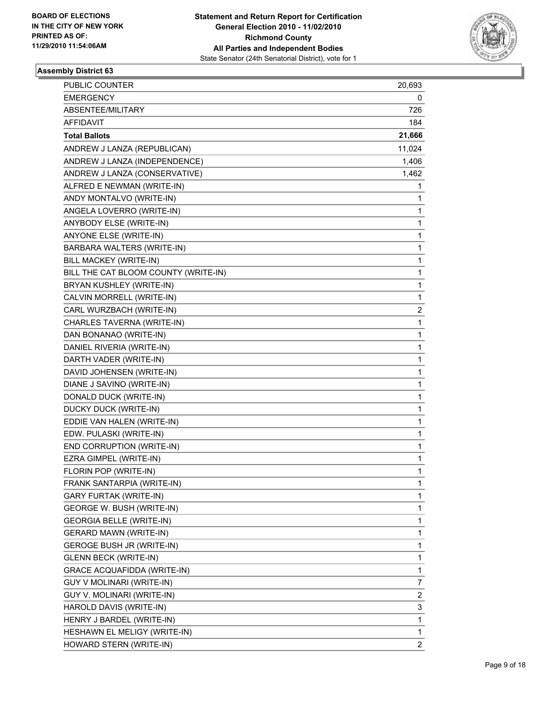

| PUBLIC COUNTER                       | 20,693 |
|--------------------------------------|--------|
| <b>EMERGENCY</b>                     | 0      |
| ABSENTEE/MILITARY                    | 726    |
| AFFIDAVIT                            | 184    |
| <b>Total Ballots</b>                 | 21,666 |
| ANDREW J LANZA (REPUBLICAN)          | 11,024 |
| ANDREW J LANZA (INDEPENDENCE)        | 1,406  |
| ANDREW J LANZA (CONSERVATIVE)        | 1,462  |
| ALFRED E NEWMAN (WRITE-IN)           | 1      |
| ANDY MONTALVO (WRITE-IN)             | 1      |
| ANGELA LOVERRO (WRITE-IN)            | 1      |
| ANYBODY ELSE (WRITE-IN)              | 1      |
| ANYONE ELSE (WRITE-IN)               | 1      |
| BARBARA WALTERS (WRITE-IN)           | 1      |
| BILL MACKEY (WRITE-IN)               | 1      |
| BILL THE CAT BLOOM COUNTY (WRITE-IN) | 1      |
| BRYAN KUSHLEY (WRITE-IN)             | 1      |
| CALVIN MORRELL (WRITE-IN)            | 1      |
| CARL WURZBACH (WRITE-IN)             | 2      |
| CHARLES TAVERNA (WRITE-IN)           | 1      |
| DAN BONANAO (WRITE-IN)               | 1      |
| DANIEL RIVERIA (WRITE-IN)            | 1      |
| DARTH VADER (WRITE-IN)               | 1      |
| DAVID JOHENSEN (WRITE-IN)            | 1      |
| DIANE J SAVINO (WRITE-IN)            | 1      |
| DONALD DUCK (WRITE-IN)               | 1      |
| DUCKY DUCK (WRITE-IN)                | 1      |
| EDDIE VAN HALEN (WRITE-IN)           | 1      |
| EDW. PULASKI (WRITE-IN)              | 1      |
| END CORRUPTION (WRITE-IN)            | 1      |
| EZRA GIMPEL (WRITE-IN)               | 1      |
| FLORIN POP (WRITE-IN)                | 1      |
| FRANK SANTARPIA (WRITE-IN)           | 1      |
| <b>GARY FURTAK (WRITE-IN)</b>        | 1      |
| GEORGE W. BUSH (WRITE-IN)            | 1      |
| <b>GEORGIA BELLE (WRITE-IN)</b>      | 1      |
| <b>GERARD MAWN (WRITE-IN)</b>        | 1      |
| <b>GEROGE BUSH JR (WRITE-IN)</b>     | 1      |
| <b>GLENN BECK (WRITE-IN)</b>         | 1      |
| <b>GRACE ACQUAFIDDA (WRITE-IN)</b>   | 1      |
| <b>GUY V MOLINARI (WRITE-IN)</b>     | 7      |
| GUY V. MOLINARI (WRITE-IN)           | 2      |
| HAROLD DAVIS (WRITE-IN)              | 3      |
| HENRY J BARDEL (WRITE-IN)            | 1      |
| HESHAWN EL MELIGY (WRITE-IN)         | 1      |
| HOWARD STERN (WRITE-IN)              | 2      |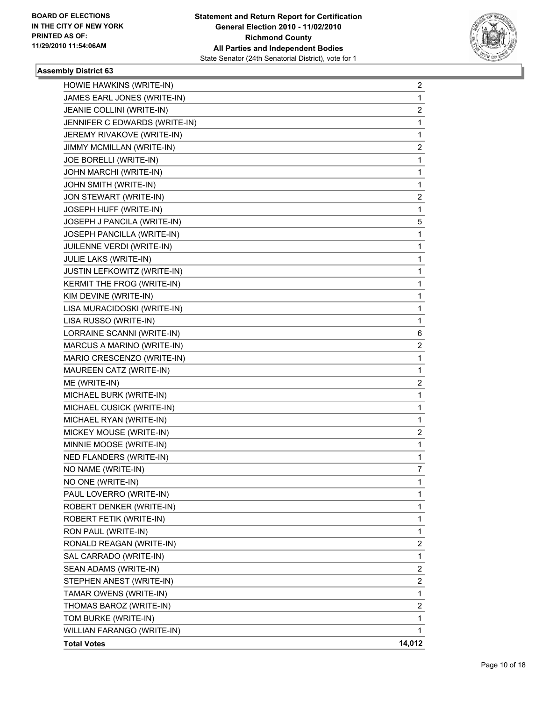

| HOWIE HAWKINS (WRITE-IN)      | 2            |
|-------------------------------|--------------|
| JAMES EARL JONES (WRITE-IN)   | 1            |
| JEANIE COLLINI (WRITE-IN)     | 2            |
| JENNIFER C EDWARDS (WRITE-IN) | 1            |
| JEREMY RIVAKOVE (WRITE-IN)    | 1            |
| JIMMY MCMILLAN (WRITE-IN)     | 2            |
| JOE BORELLI (WRITE-IN)        | 1            |
| JOHN MARCHI (WRITE-IN)        | 1            |
| JOHN SMITH (WRITE-IN)         | 1            |
| JON STEWART (WRITE-IN)        | 2            |
| JOSEPH HUFF (WRITE-IN)        | 1            |
| JOSEPH J PANCILA (WRITE-IN)   | 5            |
| JOSEPH PANCILLA (WRITE-IN)    | 1            |
| JUILENNE VERDI (WRITE-IN)     | 1            |
| JULIE LAKS (WRITE-IN)         | 1            |
| JUSTIN LEFKOWITZ (WRITE-IN)   | 1            |
| KERMIT THE FROG (WRITE-IN)    | 1            |
| KIM DEVINE (WRITE-IN)         | 1            |
| LISA MURACIDOSKI (WRITE-IN)   | 1            |
| LISA RUSSO (WRITE-IN)         | 1            |
| LORRAINE SCANNI (WRITE-IN)    | 6            |
| MARCUS A MARINO (WRITE-IN)    | 2            |
| MARIO CRESCENZO (WRITE-IN)    | 1            |
| MAUREEN CATZ (WRITE-IN)       | $\mathbf 1$  |
| ME (WRITE-IN)                 | 2            |
| MICHAEL BURK (WRITE-IN)       | 1            |
| MICHAEL CUSICK (WRITE-IN)     | 1            |
| MICHAEL RYAN (WRITE-IN)       | 1            |
| MICKEY MOUSE (WRITE-IN)       | 2            |
| MINNIE MOOSE (WRITE-IN)       | 1            |
| NED FLANDERS (WRITE-IN)       | 1            |
| NO NAME (WRITE-IN)            | 7            |
| NO ONE (WRITE-IN)             | 1            |
| PAUL LOVERRO (WRITE-IN)       | 1            |
| ROBERT DENKER (WRITE-IN)      | 1            |
| ROBERT FETIK (WRITE-IN)       | 1            |
| RON PAUL (WRITE-IN)           | 1            |
| RONALD REAGAN (WRITE-IN)      | 2            |
| SAL CARRADO (WRITE-IN)        | 1            |
| SEAN ADAMS (WRITE-IN)         | 2            |
| STEPHEN ANEST (WRITE-IN)      | $\mathbf{2}$ |
| TAMAR OWENS (WRITE-IN)        | 1            |
| THOMAS BAROZ (WRITE-IN)       | 2            |
| TOM BURKE (WRITE-IN)          | 1            |
| WILLIAN FARANGO (WRITE-IN)    | 1            |
| <b>Total Votes</b>            | 14,012       |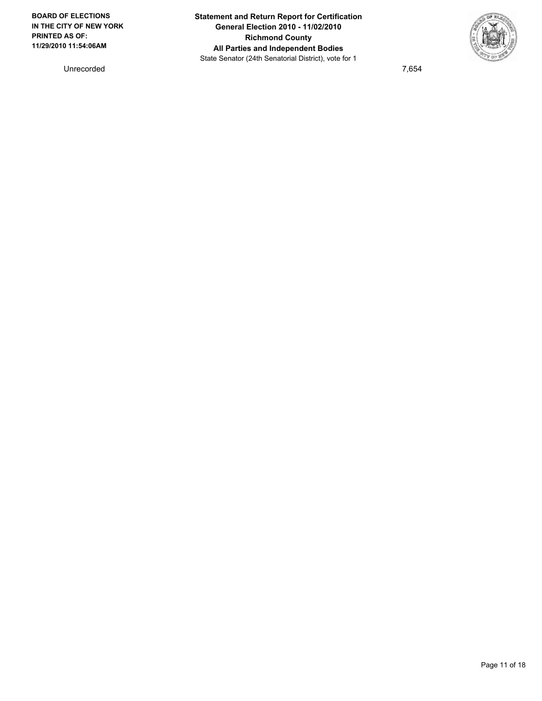Unrecorded 7,654

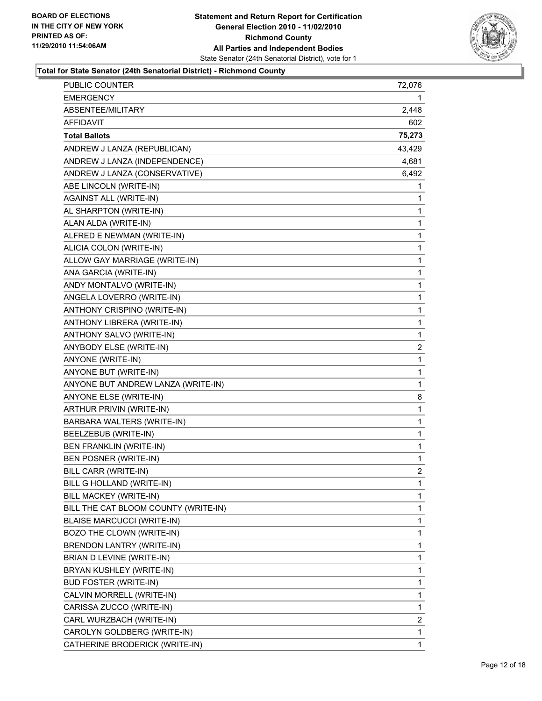

| PUBLIC COUNTER                       | 72,076         |
|--------------------------------------|----------------|
| <b>EMERGENCY</b>                     | 1              |
| ABSENTEE/MILITARY                    | 2,448          |
| AFFIDAVIT                            | 602            |
| <b>Total Ballots</b>                 | 75,273         |
| ANDREW J LANZA (REPUBLICAN)          | 43,429         |
| ANDREW J LANZA (INDEPENDENCE)        | 4,681          |
| ANDREW J LANZA (CONSERVATIVE)        | 6,492          |
| ABE LINCOLN (WRITE-IN)               | 1              |
| <b>AGAINST ALL (WRITE-IN)</b>        | 1              |
| AL SHARPTON (WRITE-IN)               | 1              |
| ALAN ALDA (WRITE-IN)                 | 1              |
| ALFRED E NEWMAN (WRITE-IN)           | 1              |
| ALICIA COLON (WRITE-IN)              | $\mathbf{1}$   |
| ALLOW GAY MARRIAGE (WRITE-IN)        | 1              |
| ANA GARCIA (WRITE-IN)                | 1              |
| ANDY MONTALVO (WRITE-IN)             | $\mathbf{1}$   |
| ANGELA LOVERRO (WRITE-IN)            | 1              |
| ANTHONY CRISPINO (WRITE-IN)          | 1              |
| ANTHONY LIBRERA (WRITE-IN)           | $\mathbf{1}$   |
| ANTHONY SALVO (WRITE-IN)             | 1              |
| ANYBODY ELSE (WRITE-IN)              | 2              |
| ANYONE (WRITE-IN)                    | 1              |
| ANYONE BUT (WRITE-IN)                | 1              |
| ANYONE BUT ANDREW LANZA (WRITE-IN)   | 1              |
| ANYONE ELSE (WRITE-IN)               | 8              |
| ARTHUR PRIVIN (WRITE-IN)             | 1              |
| BARBARA WALTERS (WRITE-IN)           | 1              |
| BEELZEBUB (WRITE-IN)                 | 1              |
| <b>BEN FRANKLIN (WRITE-IN)</b>       | 1              |
| BEN POSNER (WRITE-IN)                | 1              |
| BILL CARR (WRITE-IN)                 | $\overline{2}$ |
| BILL G HOLLAND (WRITE-IN)            | 1              |
| BILL MACKEY (WRITE-IN)               | 1              |
| BILL THE CAT BLOOM COUNTY (WRITE-IN) | $\mathbf{1}$   |
| <b>BLAISE MARCUCCI (WRITE-IN)</b>    | 1              |
| BOZO THE CLOWN (WRITE-IN)            | 1              |
| BRENDON LANTRY (WRITE-IN)            | $\mathbf{1}$   |
| BRIAN D LEVINE (WRITE-IN)            | 1              |
| BRYAN KUSHLEY (WRITE-IN)             | 1              |
| <b>BUD FOSTER (WRITE-IN)</b>         | $\mathbf{1}$   |
| CALVIN MORRELL (WRITE-IN)            | 1              |
| CARISSA ZUCCO (WRITE-IN)             | 1              |
| CARL WURZBACH (WRITE-IN)             | 2              |
| CAROLYN GOLDBERG (WRITE-IN)          | 1              |
| CATHERINE BRODERICK (WRITE-IN)       | 1              |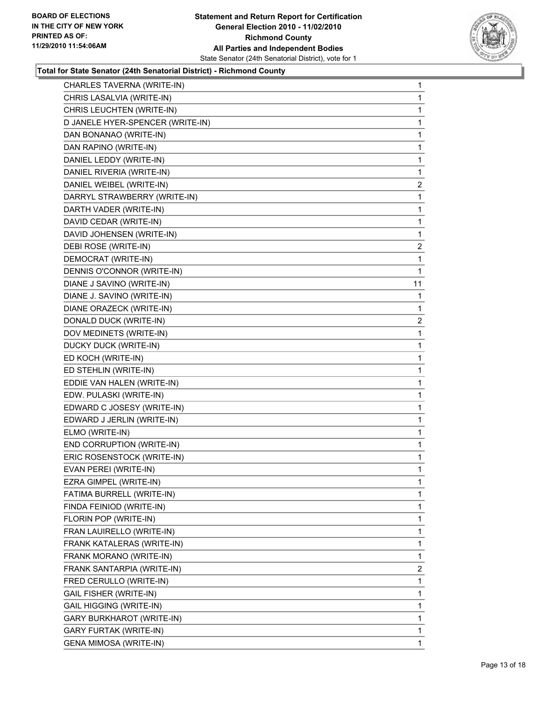

| CHARLES TAVERNA (WRITE-IN)       | 1              |
|----------------------------------|----------------|
| CHRIS LASALVIA (WRITE-IN)        | 1              |
| CHRIS LEUCHTEN (WRITE-IN)        | 1              |
| D JANELE HYER-SPENCER (WRITE-IN) | 1              |
| DAN BONANAO (WRITE-IN)           | 1              |
| DAN RAPINO (WRITE-IN)            | 1              |
| DANIEL LEDDY (WRITE-IN)          | 1              |
| DANIEL RIVERIA (WRITE-IN)        | 1              |
| DANIEL WEIBEL (WRITE-IN)         | $\overline{2}$ |
| DARRYL STRAWBERRY (WRITE-IN)     | 1              |
| DARTH VADER (WRITE-IN)           | 1              |
| DAVID CEDAR (WRITE-IN)           | 1              |
| DAVID JOHENSEN (WRITE-IN)        | 1              |
| DEBI ROSE (WRITE-IN)             | $\overline{2}$ |
| DEMOCRAT (WRITE-IN)              | 1              |
| DENNIS O'CONNOR (WRITE-IN)       | 1              |
| DIANE J SAVINO (WRITE-IN)        | 11             |
| DIANE J. SAVINO (WRITE-IN)       | 1              |
| DIANE ORAZECK (WRITE-IN)         | 1              |
| DONALD DUCK (WRITE-IN)           | $\overline{2}$ |
| DOV MEDINETS (WRITE-IN)          | 1              |
| DUCKY DUCK (WRITE-IN)            | 1              |
| ED KOCH (WRITE-IN)               | 1              |
| ED STEHLIN (WRITE-IN)            | 1              |
| EDDIE VAN HALEN (WRITE-IN)       | 1              |
| EDW. PULASKI (WRITE-IN)          | 1              |
| EDWARD C JOSESY (WRITE-IN)       | 1              |
| EDWARD J JERLIN (WRITE-IN)       | 1              |
| ELMO (WRITE-IN)                  | 1              |
| END CORRUPTION (WRITE-IN)        | 1              |
| ERIC ROSENSTOCK (WRITE-IN)       | 1              |
| EVAN PEREI (WRITE-IN)            | 1              |
| EZRA GIMPEL (WRITE-IN)           | 1              |
| FATIMA BURRELL (WRITE-IN)        | 1              |
| FINDA FEINIOD (WRITE-IN)         | 1              |
| FLORIN POP (WRITE-IN)            | 1              |
| FRAN LAUIRELLO (WRITE-IN)        | 1              |
| FRANK KATALERAS (WRITE-IN)       | 1              |
| FRANK MORANO (WRITE-IN)          | 1              |
| FRANK SANTARPIA (WRITE-IN)       | $\mathbf{2}$   |
| FRED CERULLO (WRITE-IN)          | 1              |
| <b>GAIL FISHER (WRITE-IN)</b>    | 1              |
| <b>GAIL HIGGING (WRITE-IN)</b>   | 1              |
| <b>GARY BURKHAROT (WRITE-IN)</b> | 1              |
| <b>GARY FURTAK (WRITE-IN)</b>    | 1              |
| GENA MIMOSA (WRITE-IN)           | $\mathbf 1$    |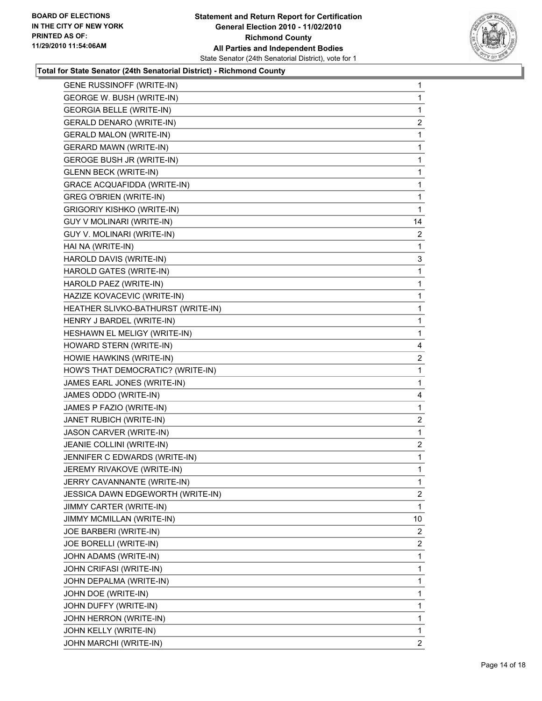

| <b>GENE RUSSINOFF (WRITE-IN)</b>   | 1              |
|------------------------------------|----------------|
| GEORGE W. BUSH (WRITE-IN)          | 1              |
| <b>GEORGIA BELLE (WRITE-IN)</b>    | 1              |
| GERALD DENARO (WRITE-IN)           | $\overline{c}$ |
| <b>GERALD MALON (WRITE-IN)</b>     | 1              |
| <b>GERARD MAWN (WRITE-IN)</b>      | 1              |
| <b>GEROGE BUSH JR (WRITE-IN)</b>   | 1              |
| <b>GLENN BECK (WRITE-IN)</b>       | 1              |
| <b>GRACE ACQUAFIDDA (WRITE-IN)</b> | 1              |
| <b>GREG O'BRIEN (WRITE-IN)</b>     | 1              |
| <b>GRIGORIY KISHKO (WRITE-IN)</b>  | 1              |
| GUY V MOLINARI (WRITE-IN)          | 14             |
| GUY V. MOLINARI (WRITE-IN)         | $\overline{2}$ |
| HAI NA (WRITE-IN)                  | 1              |
| HAROLD DAVIS (WRITE-IN)            | 3              |
| HAROLD GATES (WRITE-IN)            | 1              |
| HAROLD PAEZ (WRITE-IN)             | 1              |
| HAZIZE KOVACEVIC (WRITE-IN)        | 1              |
| HEATHER SLIVKO-BATHURST (WRITE-IN) | 1              |
| HENRY J BARDEL (WRITE-IN)          | 1              |
| HESHAWN EL MELIGY (WRITE-IN)       | 1              |
| HOWARD STERN (WRITE-IN)            | 4              |
| HOWIE HAWKINS (WRITE-IN)           | 2              |
| HOW'S THAT DEMOCRATIC? (WRITE-IN)  | 1              |
| JAMES EARL JONES (WRITE-IN)        | 1              |
| JAMES ODDO (WRITE-IN)              | 4              |
| JAMES P FAZIO (WRITE-IN)           | 1              |
| JANET RUBICH (WRITE-IN)            | $\mathbf{2}$   |
| <b>JASON CARVER (WRITE-IN)</b>     | 1              |
| JEANIE COLLINI (WRITE-IN)          | $\overline{2}$ |
| JENNIFER C EDWARDS (WRITE-IN)      | 1              |
| JEREMY RIVAKOVE (WRITE-IN)         | 1              |
| JERRY CAVANNANTE (WRITE-IN)        | 1              |
| JESSICA DAWN EDGEWORTH (WRITE-IN)  | 2              |
| JIMMY CARTER (WRITE-IN)            | 1              |
| JIMMY MCMILLAN (WRITE-IN)          | 10             |
| JOE BARBERI (WRITE-IN)             | 2              |
| JOE BORELLI (WRITE-IN)             | 2              |
| JOHN ADAMS (WRITE-IN)              | 1              |
| JOHN CRIFASI (WRITE-IN)            | 1              |
| JOHN DEPALMA (WRITE-IN)            | 1              |
| JOHN DOE (WRITE-IN)                | 1              |
| JOHN DUFFY (WRITE-IN)              | 1              |
| JOHN HERRON (WRITE-IN)             | 1              |
| JOHN KELLY (WRITE-IN)              | 1              |
| JOHN MARCHI (WRITE-IN)             | 2              |
|                                    |                |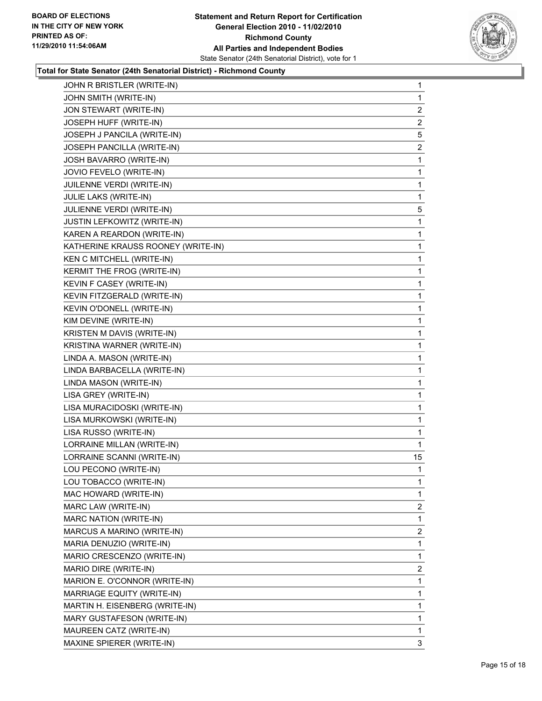

| JOHN R BRISTLER (WRITE-IN)         | 1              |
|------------------------------------|----------------|
| JOHN SMITH (WRITE-IN)              | $\mathbf 1$    |
| JON STEWART (WRITE-IN)             | 2              |
| JOSEPH HUFF (WRITE-IN)             | 2              |
| JOSEPH J PANCILA (WRITE-IN)        | 5              |
| JOSEPH PANCILLA (WRITE-IN)         | 2              |
| JOSH BAVARRO (WRITE-IN)            | 1              |
| JOVIO FEVELO (WRITE-IN)            | $\mathbf 1$    |
| JUILENNE VERDI (WRITE-IN)          | 1              |
| JULIE LAKS (WRITE-IN)              | 1              |
| JULIENNE VERDI (WRITE-IN)          | 5              |
| JUSTIN LEFKOWITZ (WRITE-IN)        | 1              |
| KAREN A REARDON (WRITE-IN)         | 1              |
| KATHERINE KRAUSS ROONEY (WRITE-IN) | 1              |
| KEN C MITCHELL (WRITE-IN)          | 1              |
| KERMIT THE FROG (WRITE-IN)         | 1              |
| KEVIN F CASEY (WRITE-IN)           | 1              |
| KEVIN FITZGERALD (WRITE-IN)        | 1              |
| KEVIN O'DONELL (WRITE-IN)          | 1              |
| KIM DEVINE (WRITE-IN)              | 1              |
| KRISTEN M DAVIS (WRITE-IN)         | 1              |
| KRISTINA WARNER (WRITE-IN)         | 1              |
| LINDA A. MASON (WRITE-IN)          | 1              |
| LINDA BARBACELLA (WRITE-IN)        | 1              |
| LINDA MASON (WRITE-IN)             | 1              |
| LISA GREY (WRITE-IN)               | 1              |
| LISA MURACIDOSKI (WRITE-IN)        | 1              |
| LISA MURKOWSKI (WRITE-IN)          | 1              |
| LISA RUSSO (WRITE-IN)              | 1              |
| LORRAINE MILLAN (WRITE-IN)         | 1              |
| LORRAINE SCANNI (WRITE-IN)         | 15             |
| LOU PECONO (WRITE-IN)              | 1              |
| LOU TOBACCO (WRITE-IN)             | 1              |
| MAC HOWARD (WRITE-IN)              | 1              |
| MARC LAW (WRITE-IN)                | 2              |
| <b>MARC NATION (WRITE-IN)</b>      | 1              |
| MARCUS A MARINO (WRITE-IN)         | $\overline{2}$ |
| MARIA DENUZIO (WRITE-IN)           | 1              |
| MARIO CRESCENZO (WRITE-IN)         | 1              |
| MARIO DIRE (WRITE-IN)              | $\overline{2}$ |
| MARION E. O'CONNOR (WRITE-IN)      | 1              |
| MARRIAGE EQUITY (WRITE-IN)         | 1              |
| MARTIN H. EISENBERG (WRITE-IN)     | 1              |
| MARY GUSTAFESON (WRITE-IN)         | 1              |
| MAUREEN CATZ (WRITE-IN)            | 1              |
| MAXINE SPIERER (WRITE-IN)          | 3              |
|                                    |                |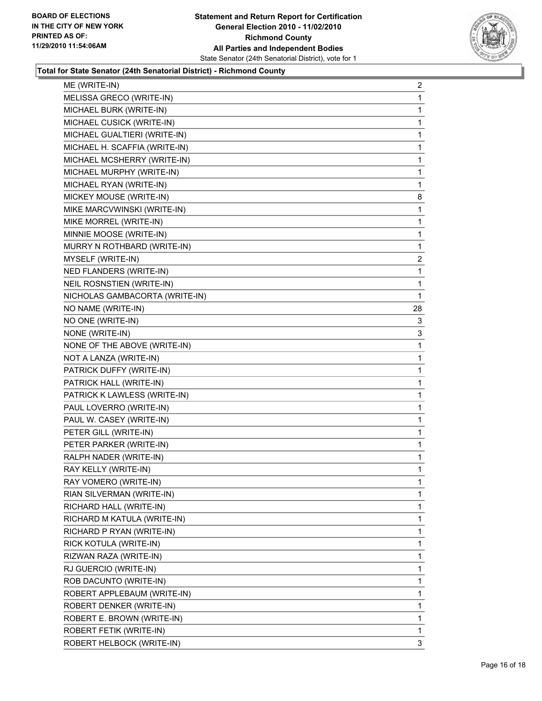

| ME (WRITE-IN)                  | 2            |
|--------------------------------|--------------|
| MELISSA GRECO (WRITE-IN)       | 1            |
| MICHAEL BURK (WRITE-IN)        | 1            |
| MICHAEL CUSICK (WRITE-IN)      | 1            |
| MICHAEL GUALTIERI (WRITE-IN)   | 1            |
| MICHAEL H. SCAFFIA (WRITE-IN)  | 1            |
| MICHAEL MCSHERRY (WRITE-IN)    | 1            |
| MICHAEL MURPHY (WRITE-IN)      | 1            |
| MICHAEL RYAN (WRITE-IN)        | 1            |
| MICKEY MOUSE (WRITE-IN)        | 8            |
| MIKE MARCVWINSKI (WRITE-IN)    | 1            |
| MIKE MORREL (WRITE-IN)         | 1            |
| MINNIE MOOSE (WRITE-IN)        | 1            |
| MURRY N ROTHBARD (WRITE-IN)    | 1            |
| MYSELF (WRITE-IN)              | 2            |
| NED FLANDERS (WRITE-IN)        | 1            |
| NEIL ROSNSTIEN (WRITE-IN)      | 1            |
| NICHOLAS GAMBACORTA (WRITE-IN) | 1            |
| NO NAME (WRITE-IN)             | 28           |
| NO ONE (WRITE-IN)              | 3            |
| NONE (WRITE-IN)                | 3            |
| NONE OF THE ABOVE (WRITE-IN)   | 1            |
| NOT A LANZA (WRITE-IN)         | 1            |
| PATRICK DUFFY (WRITE-IN)       | 1            |
| PATRICK HALL (WRITE-IN)        | 1            |
| PATRICK K LAWLESS (WRITE-IN)   | 1            |
| PAUL LOVERRO (WRITE-IN)        | 1            |
| PAUL W. CASEY (WRITE-IN)       | 1            |
| PETER GILL (WRITE-IN)          | 1            |
| PETER PARKER (WRITE-IN)        | 1            |
| RALPH NADER (WRITE-IN)         | 1            |
| RAY KELLY (WRITE-IN)           | 1            |
| RAY VOMERO (WRITE-IN)          | 1            |
| RIAN SILVERMAN (WRITE-IN)      | 1            |
| RICHARD HALL (WRITE-IN)        | 1            |
| RICHARD M KATULA (WRITE-IN)    | 1            |
| RICHARD P RYAN (WRITE-IN)      | 1            |
| RICK KOTULA (WRITE-IN)         | 1            |
| RIZWAN RAZA (WRITE-IN)         | 1            |
| RJ GUERCIO (WRITE-IN)          | 1            |
| ROB DACUNTO (WRITE-IN)         | 1            |
| ROBERT APPLEBAUM (WRITE-IN)    | 1            |
| ROBERT DENKER (WRITE-IN)       | 1            |
| ROBERT E. BROWN (WRITE-IN)     | $\mathbf{1}$ |
| ROBERT FETIK (WRITE-IN)        | 1            |
| ROBERT HELBOCK (WRITE-IN)      | 3            |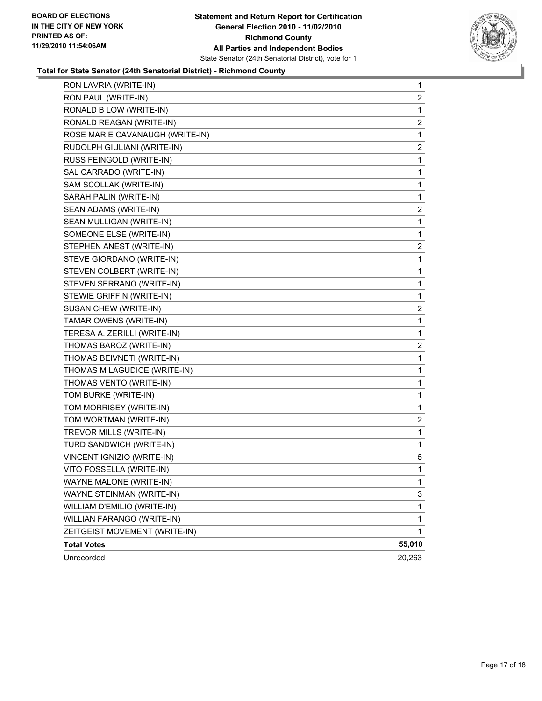

| RON LAVRIA (WRITE-IN)           | $\mathbf 1$    |
|---------------------------------|----------------|
| RON PAUL (WRITE-IN)             | $\overline{2}$ |
| RONALD B LOW (WRITE-IN)         | 1              |
| RONALD REAGAN (WRITE-IN)        | 2              |
| ROSE MARIE CAVANAUGH (WRITE-IN) | 1              |
| RUDOLPH GIULIANI (WRITE-IN)     | 2              |
| RUSS FEINGOLD (WRITE-IN)        | 1              |
| SAL CARRADO (WRITE-IN)          | 1              |
| SAM SCOLLAK (WRITE-IN)          | 1              |
| SARAH PALIN (WRITE-IN)          | 1              |
| SEAN ADAMS (WRITE-IN)           | 2              |
| SEAN MULLIGAN (WRITE-IN)        | 1              |
| SOMEONE ELSE (WRITE-IN)         | $\mathbf 1$    |
| STEPHEN ANEST (WRITE-IN)        | 2              |
| STEVE GIORDANO (WRITE-IN)       | 1              |
| STEVEN COLBERT (WRITE-IN)       | 1              |
| STEVEN SERRANO (WRITE-IN)       | 1              |
| STEWIE GRIFFIN (WRITE-IN)       | 1              |
| SUSAN CHEW (WRITE-IN)           | 2              |
| TAMAR OWENS (WRITE-IN)          | 1              |
| TERESA A. ZERILLI (WRITE-IN)    | 1              |
| THOMAS BAROZ (WRITE-IN)         | 2              |
| THOMAS BEIVNETI (WRITE-IN)      | 1              |
| THOMAS M LAGUDICE (WRITE-IN)    | 1              |
| THOMAS VENTO (WRITE-IN)         | 1              |
| TOM BURKE (WRITE-IN)            | 1              |
| TOM MORRISEY (WRITE-IN)         | 1              |
| TOM WORTMAN (WRITE-IN)          | 2              |
| TREVOR MILLS (WRITE-IN)         | 1              |
| TURD SANDWICH (WRITE-IN)        | 1              |
| VINCENT IGNIZIO (WRITE-IN)      | 5              |
| VITO FOSSELLA (WRITE-IN)        | 1              |
| WAYNE MALONE (WRITE-IN)         | 1              |
| WAYNE STEINMAN (WRITE-IN)       | 3              |
| WILLIAM D'EMILIO (WRITE-IN)     | 1              |
| WILLIAN FARANGO (WRITE-IN)      | $\mathbf 1$    |
| ZEITGEIST MOVEMENT (WRITE-IN)   | 1              |
| <b>Total Votes</b>              | 55,010         |
| Unrecorded                      | 20,263         |
|                                 |                |